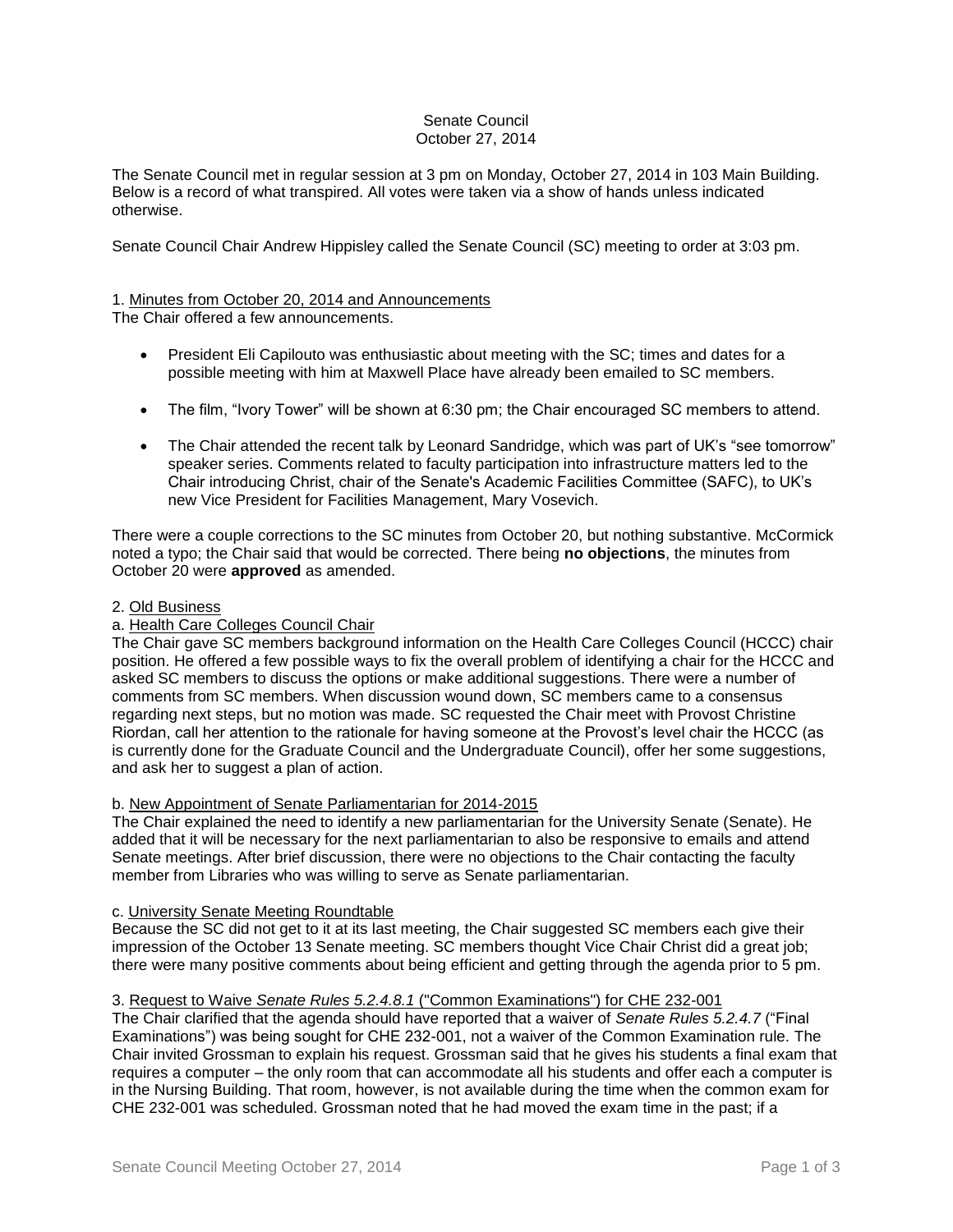## Senate Council October 27, 2014

The Senate Council met in regular session at 3 pm on Monday, October 27, 2014 in 103 Main Building. Below is a record of what transpired. All votes were taken via a show of hands unless indicated otherwise.

Senate Council Chair Andrew Hippisley called the Senate Council (SC) meeting to order at 3:03 pm.

# 1. Minutes from October 20, 2014 and Announcements

The Chair offered a few announcements.

- President Eli Capilouto was enthusiastic about meeting with the SC; times and dates for a possible meeting with him at Maxwell Place have already been emailed to SC members.
- The film, "Ivory Tower" will be shown at 6:30 pm; the Chair encouraged SC members to attend.
- The Chair attended the recent talk by Leonard Sandridge, which was part of UK's "see tomorrow" speaker series. Comments related to faculty participation into infrastructure matters led to the Chair introducing Christ, chair of the Senate's Academic Facilities Committee (SAFC), to UK's new Vice President for Facilities Management, Mary Vosevich.

There were a couple corrections to the SC minutes from October 20, but nothing substantive. McCormick noted a typo; the Chair said that would be corrected. There being **no objections**, the minutes from October 20 were **approved** as amended.

## 2. Old Business

## a. Health Care Colleges Council Chair

The Chair gave SC members background information on the Health Care Colleges Council (HCCC) chair position. He offered a few possible ways to fix the overall problem of identifying a chair for the HCCC and asked SC members to discuss the options or make additional suggestions. There were a number of comments from SC members. When discussion wound down, SC members came to a consensus regarding next steps, but no motion was made. SC requested the Chair meet with Provost Christine Riordan, call her attention to the rationale for having someone at the Provost's level chair the HCCC (as is currently done for the Graduate Council and the Undergraduate Council), offer her some suggestions, and ask her to suggest a plan of action.

## b. New Appointment of Senate Parliamentarian for 2014-2015

The Chair explained the need to identify a new parliamentarian for the University Senate (Senate). He added that it will be necessary for the next parliamentarian to also be responsive to emails and attend Senate meetings. After brief discussion, there were no objections to the Chair contacting the faculty member from Libraries who was willing to serve as Senate parliamentarian.

## c. University Senate Meeting Roundtable

Because the SC did not get to it at its last meeting, the Chair suggested SC members each give their impression of the October 13 Senate meeting. SC members thought Vice Chair Christ did a great job; there were many positive comments about being efficient and getting through the agenda prior to 5 pm.

## 3. Request to Waive *Senate Rules 5.2.4.8.1* ("Common Examinations") for CHE 232-001

The Chair clarified that the agenda should have reported that a waiver of *Senate Rules 5.2.4.7* ("Final Examinations") was being sought for CHE 232-001, not a waiver of the Common Examination rule. The Chair invited Grossman to explain his request. Grossman said that he gives his students a final exam that requires a computer – the only room that can accommodate all his students and offer each a computer is in the Nursing Building. That room, however, is not available during the time when the common exam for CHE 232-001 was scheduled. Grossman noted that he had moved the exam time in the past; if a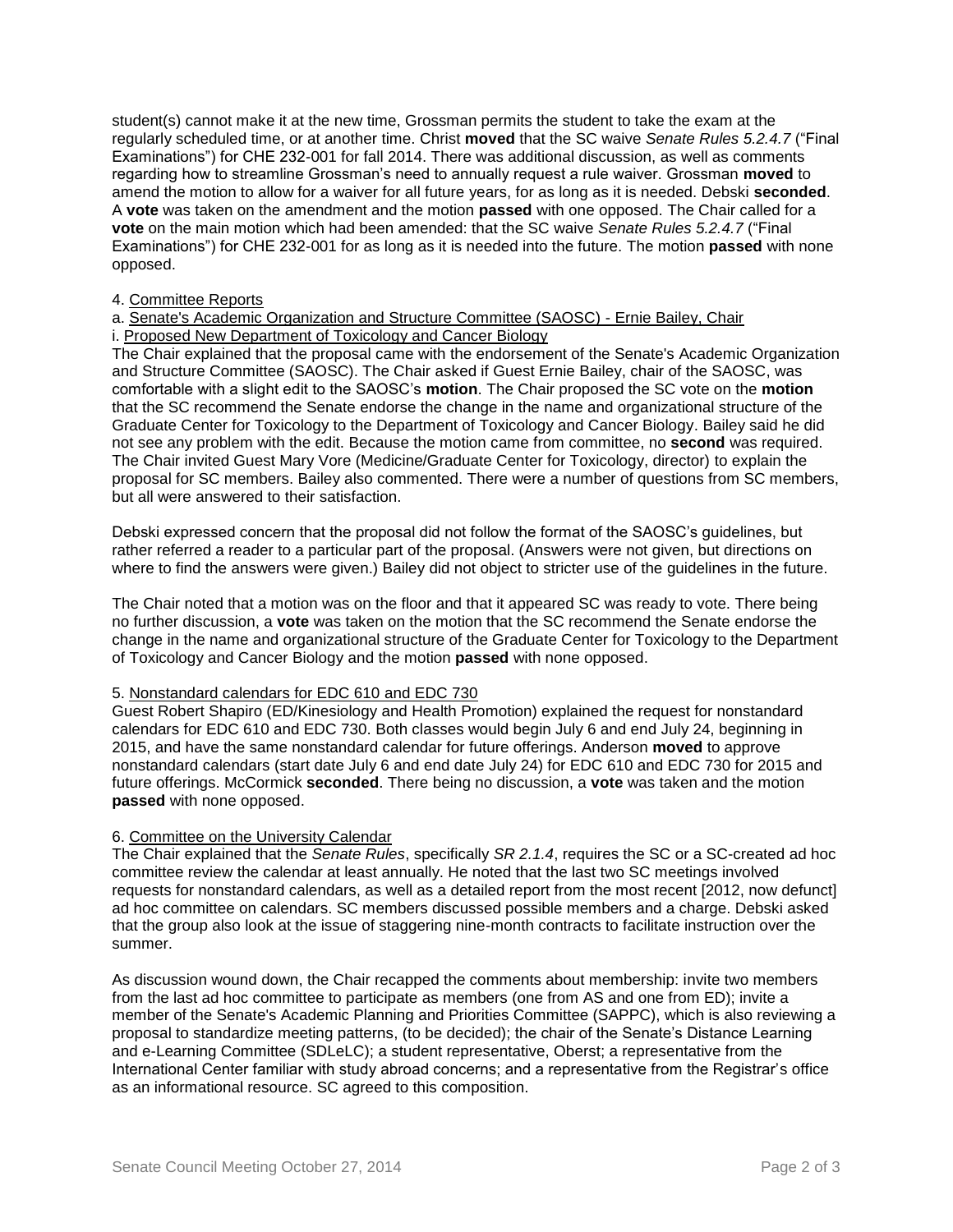student(s) cannot make it at the new time, Grossman permits the student to take the exam at the regularly scheduled time, or at another time. Christ **moved** that the SC waive *Senate Rules 5.2.4.7* ("Final Examinations") for CHE 232-001 for fall 2014. There was additional discussion, as well as comments regarding how to streamline Grossman's need to annually request a rule waiver. Grossman **moved** to amend the motion to allow for a waiver for all future years, for as long as it is needed. Debski **seconded**. A **vote** was taken on the amendment and the motion **passed** with one opposed. The Chair called for a **vote** on the main motion which had been amended: that the SC waive *Senate Rules 5.2.4.7* ("Final Examinations") for CHE 232-001 for as long as it is needed into the future. The motion **passed** with none opposed.

## 4. Committee Reports

## a. Senate's Academic Organization and Structure Committee (SAOSC) - Ernie Bailey, Chair i. Proposed New Department of Toxicology and Cancer Biology

The Chair explained that the proposal came with the endorsement of the Senate's Academic Organization and Structure Committee (SAOSC). The Chair asked if Guest Ernie Bailey, chair of the SAOSC, was comfortable with a slight edit to the SAOSC's **motion**. The Chair proposed the SC vote on the **motion** that the SC recommend the Senate endorse the change in the name and organizational structure of the Graduate Center for Toxicology to the Department of Toxicology and Cancer Biology. Bailey said he did not see any problem with the edit. Because the motion came from committee, no **second** was required. The Chair invited Guest Mary Vore (Medicine/Graduate Center for Toxicology, director) to explain the proposal for SC members. Bailey also commented. There were a number of questions from SC members, but all were answered to their satisfaction.

Debski expressed concern that the proposal did not follow the format of the SAOSC's guidelines, but rather referred a reader to a particular part of the proposal. (Answers were not given, but directions on where to find the answers were given.) Bailey did not object to stricter use of the guidelines in the future.

The Chair noted that a motion was on the floor and that it appeared SC was ready to vote. There being no further discussion, a **vote** was taken on the motion that the SC recommend the Senate endorse the change in the name and organizational structure of the Graduate Center for Toxicology to the Department of Toxicology and Cancer Biology and the motion **passed** with none opposed.

## 5. Nonstandard calendars for EDC 610 and EDC 730

Guest Robert Shapiro (ED/Kinesiology and Health Promotion) explained the request for nonstandard calendars for EDC 610 and EDC 730. Both classes would begin July 6 and end July 24, beginning in 2015, and have the same nonstandard calendar for future offerings. Anderson **moved** to approve nonstandard calendars (start date July 6 and end date July 24) for EDC 610 and EDC 730 for 2015 and future offerings. McCormick **seconded**. There being no discussion, a **vote** was taken and the motion **passed** with none opposed.

# 6. Committee on the University Calendar

The Chair explained that the *Senate Rules*, specifically *SR 2.1.4*, requires the SC or a SC-created ad hoc committee review the calendar at least annually. He noted that the last two SC meetings involved requests for nonstandard calendars, as well as a detailed report from the most recent [2012, now defunct] ad hoc committee on calendars. SC members discussed possible members and a charge. Debski asked that the group also look at the issue of staggering nine-month contracts to facilitate instruction over the summer.

As discussion wound down, the Chair recapped the comments about membership: invite two members from the last ad hoc committee to participate as members (one from AS and one from ED); invite a member of the Senate's Academic Planning and Priorities Committee (SAPPC), which is also reviewing a proposal to standardize meeting patterns, (to be decided); the chair of the Senate's Distance Learning and e-Learning Committee (SDLeLC); a student representative, Oberst; a representative from the International Center familiar with study abroad concerns; and a representative from the Registrar's office as an informational resource. SC agreed to this composition.